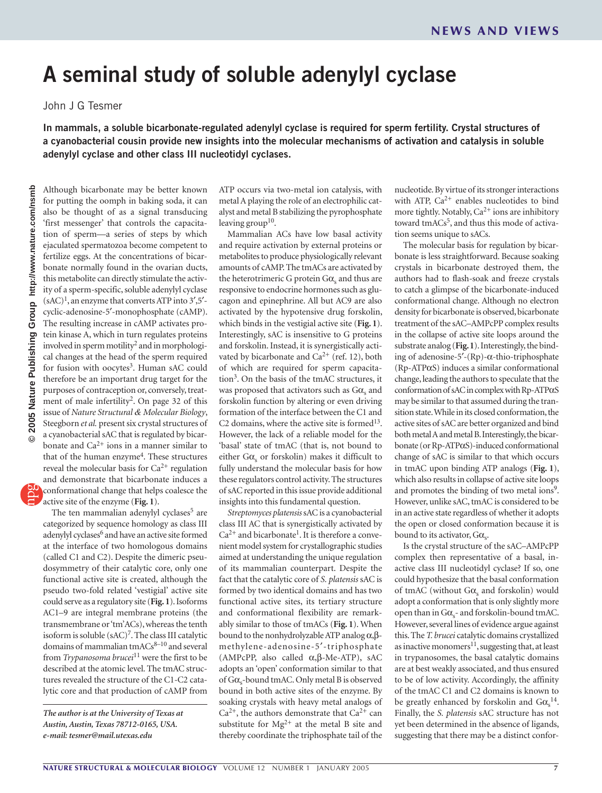## **A seminal study of soluble adenylyl cyclase**

John J G Tesmer

**In mammals, a soluble bicarbonate-regulated adenylyl cyclase is required for sperm fertility. Crystal structures of a cyanobacterial cousin provide new insights into the molecular mechanisms of activation and catalysis in soluble adenylyl cyclase and other class III nucleotidyl cyclases.**

Although bicarbonate may be better known for putting the oomph in baking soda, it can also be thought of as a signal transducing 'first messenger' that controls the capacitation of sperm—a series of steps by which ejaculated spermatozoa become competent to fertilize eggs. At the concentrations of bicarbonate normally found in the ovarian ducts, this metabolite can directly stimulate the activity of a sperm-specific, soluble adenylyl cyclase  $(sAC)^1$ , an enzyme that converts ATP into 3',5'cyclic-adenosine-5′-monophosphate (cAMP). The resulting increase in cAMP activates protein kinase A, which in turn regulates proteins involved in sperm motility<sup>2</sup> and in morphological changes at the head of the sperm required for fusion with oocytes<sup>3</sup>. Human sAC could therefore be an important drug target for the purposes of contraception or, conversely, treatment of male infertility<sup>2</sup>. On page 32 of this issue of *Nature Structural & Molecular Biology*, Steegborn *et al.* present six crystal structures of a cyanobacterial sAC that is regulated by bicarbonate and  $Ca^{2+}$  ions in a manner similar to that of the human enzyme<sup>4</sup>. These structures reveal the molecular basis for  $Ca^{2+}$  regulation and demonstrate that bicarbonate induces a conformational change that helps coalesce the active site of the enzyme (**Fig. 1**).

The ten mammalian adenylyl cyclases<sup>5</sup> are categorized by sequence homology as class III adenylyl cyclases<sup>6</sup> and have an active site formed at the interface of two homologous domains (called C1 and C2). Despite the dimeric pseudosymmetry of their catalytic core, only one functional active site is created, although the pseudo two-fold related 'vestigial' active site could serve as a regulatory site (**Fig. 1**). Isoforms AC1–9 are integral membrane proteins (the transmembrane or 'tm'ACs), whereas the tenth isoform is soluble (sAC)7. The class III catalytic domains of mammalian  $t$ mACs $^{8-10}$  and several from *Trypanosoma brucei*11 were the first to be described at the atomic level. The tmAC structures revealed the structure of the C1-C2 catalytic core and that production of cAMP from

ATP occurs via two-metal ion catalysis, with metal A playing the role of an electrophilic catalyst and metal B stabilizing the pyrophosphate leaving group<sup>10</sup>.

Mammalian ACs have low basal activity and require activation by external proteins or metabolites to produce physiologically relevant amounts of cAMP. The tmACs are activated by the heterotrimeric G protein  $G\alpha_s$  and thus are responsive to endocrine hormones such as glucagon and epinephrine. All but AC9 are also activated by the hypotensive drug forskolin, which binds in the vestigial active site (**Fig. 1**). Interestingly, sAC is insensitive to G proteins and forskolin. Instead, it is synergistically activated by bicarbonate and  $Ca^{2+}$  (ref. 12), both of which are required for sperm capacitation3. On the basis of the tmAC structures, it was proposed that activators such as  $G\alpha_s$  and forskolin function by altering or even driving formation of the interface between the C1 and C2 domains, where the active site is formed $13$ . However, the lack of a reliable model for the 'basal' state of tmAC (that is, not bound to either  $G\alpha_s$  or forskolin) makes it difficult to fully understand the molecular basis for how these regulators control activity. The structures of sAC reported in this issue provide additional insights into this fundamental question.

*Streptomyces platensis* sAC is a cyanobacterial class III AC that is synergistically activated by  $Ca<sup>2+</sup>$  and bicarbonate<sup>1</sup>. It is therefore a convenient model system for crystallographic studies aimed at understanding the unique regulation of its mammalian counterpart. Despite the fact that the catalytic core of *S. platensis* sAC is formed by two identical domains and has two functional active sites, its tertiary structure and conformational flexibility are remarkably similar to those of tmACs (**Fig. 1**). When bound to the nonhydrolyzable ATP analog  $\alpha$ , $\beta$ methylene-adenosine-5′-triphosphate (AMPcPP, also called α,β-Me-ATP), sAC adopts an 'open' conformation similar to that of Gα<sub>s</sub>-bound tmAC. Only metal B is observed bound in both active sites of the enzyme. By soaking crystals with heavy metal analogs of  $Ca^{2+}$ , the authors demonstrate that  $Ca^{2+}$  can substitute for  $Mg^{2+}$  at the metal B site and thereby coordinate the triphosphate tail of the

nucleotide. By virtue of its stronger interactions with ATP,  $Ca^{2+}$  enables nucleotides to bind more tightly. Notably, Ca<sup>2+</sup> ions are inhibitory toward tmACs<sup>5</sup>, and thus this mode of activation seems unique to sACs.

The molecular basis for regulation by bicarbonate is less straightforward. Because soaking crystals in bicarbonate destroyed them, the authors had to flash-soak and freeze crystals to catch a glimpse of the bicarbonate-induced conformational change. Although no electron density for bicarbonate is observed, bicarbonate treatment of the sAC–AMPcPP complex results in the collapse of active site loops around the substrate analog (**Fig. 1**). Interestingly, the binding of adenosine-5′-(Rp)-α-thio-triphosphate (Rp-ATPαS) induces a similar conformational change, leading the authors to speculate that the conformation of sAC in complex with Rp-ATPαS may be similar to that assumed during the transition state. While in its closed conformation, the active sites of sAC are better organized and bind both metal A and metal B. Interestingly, the bicarbonate (or Rp-ATPαS)-induced conformational change of sAC is similar to that which occurs in tmAC upon binding ATP analogs (**Fig. 1**), which also results in collapse of active site loops and promotes the binding of two metal ions<sup>9</sup>. However, unlike sAC, tmAC is considered to be in an active state regardless of whether it adopts the open or closed conformation because it is bound to its activator,  $G\alpha_{s}$ .

Is the crystal structure of the sAC–AMPcPP complex then representative of a basal, inactive class III nucleotidyl cyclase? If so, one could hypothesize that the basal conformation of tmAC (without  $G\alpha_s$  and forskolin) would adopt a conformation that is only slightly more open than in  $G\alpha_{s}$ - and forskolin-bound tmAC. However, several lines of evidence argue against this. The *T. brucei* catalytic domains crystallized as inactive monomers $^{11}$ , suggesting that, at least in trypanosomes, the basal catalytic domains are at best weakly associated, and thus ensured to be of low activity. Accordingly, the affinity of the tmAC C1 and C2 domains is known to be greatly enhanced by forskolin and  $G\alpha_s^{14}$ . Finally, the *S. platensis* sAC structure has not yet been determined in the absence of ligands, suggesting that there may be a distinct confor-

*The author is at the University of Texas at Austin, Austin, Texas 78712-0165, USA. e-mail: tesmer@mail.utexas.edu*